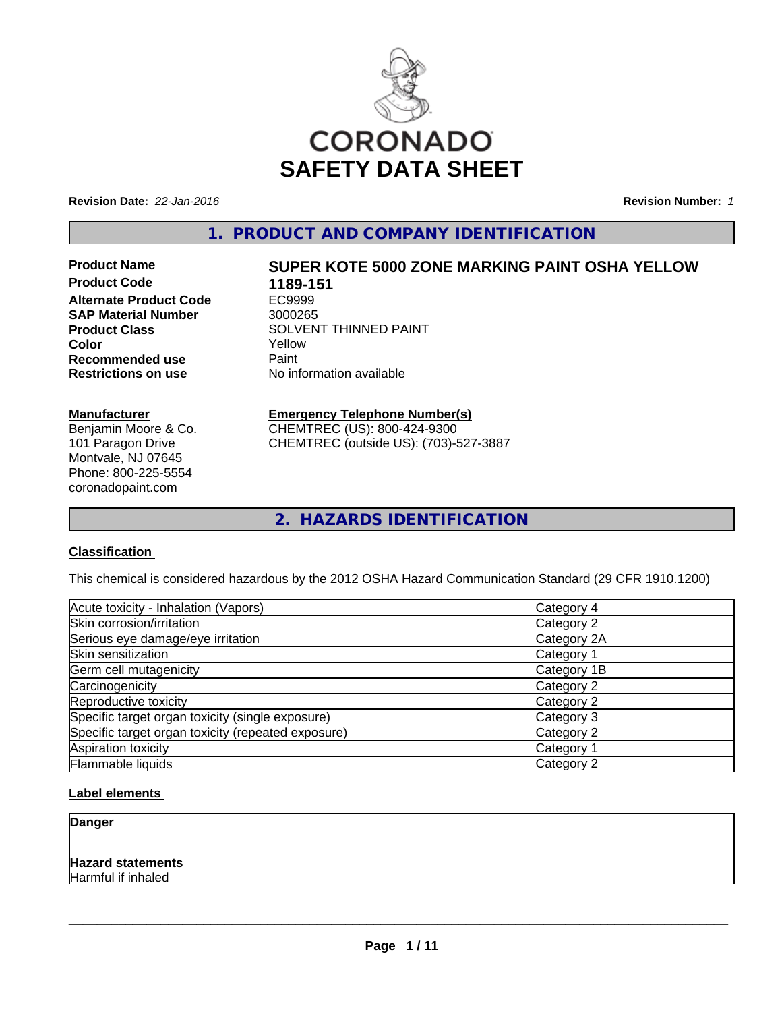

**Revision Date:** *22-Jan-2016* **Revision Number:** *1*

**1. PRODUCT AND COMPANY IDENTIFICATION**

**Product Code 1189-151 Alternate Product Code** EC9999 **SAP Material Number** 3000265<br>**Product Class** SOLVEN **Recommended use** Paint **Restrictions on use** No information available

**Manufacturer** Benjamin Moore & Co. 101 Paragon Drive Montvale, NJ 07645 Phone: 800-225-5554 coronadopaint.com

# **Product Name SUPER KOTE 5000 ZONE MARKING PAINT OSHA YELLOW**

**SOLVENT THINNED PAINT Color** Yellow

#### **Emergency Telephone Number(s)**

CHEMTREC (US): 800-424-9300 CHEMTREC (outside US): (703)-527-3887

**2. HAZARDS IDENTIFICATION**

#### **Classification**

This chemical is considered hazardous by the 2012 OSHA Hazard Communication Standard (29 CFR 1910.1200)

| Acute toxicity - Inhalation (Vapors)               | Category 4  |
|----------------------------------------------------|-------------|
| Skin corrosion/irritation                          | Category 2  |
| Serious eye damage/eye irritation                  | Category 2A |
| Skin sensitization                                 | Category 1  |
| Germ cell mutagenicity                             | Category 1B |
| Carcinogenicity                                    | Category 2  |
| Reproductive toxicity                              | Category 2  |
| Specific target organ toxicity (single exposure)   | Category 3  |
| Specific target organ toxicity (repeated exposure) | Category 2  |
| Aspiration toxicity                                | Category 1  |
| Flammable liquids                                  | Category 2  |

## **Label elements**

**Danger**

**Hazard statements** Harmful if inhaled

 $\overline{\phantom{a}}$  ,  $\overline{\phantom{a}}$  ,  $\overline{\phantom{a}}$  ,  $\overline{\phantom{a}}$  ,  $\overline{\phantom{a}}$  ,  $\overline{\phantom{a}}$  ,  $\overline{\phantom{a}}$  ,  $\overline{\phantom{a}}$  ,  $\overline{\phantom{a}}$  ,  $\overline{\phantom{a}}$  ,  $\overline{\phantom{a}}$  ,  $\overline{\phantom{a}}$  ,  $\overline{\phantom{a}}$  ,  $\overline{\phantom{a}}$  ,  $\overline{\phantom{a}}$  ,  $\overline{\phantom{a}}$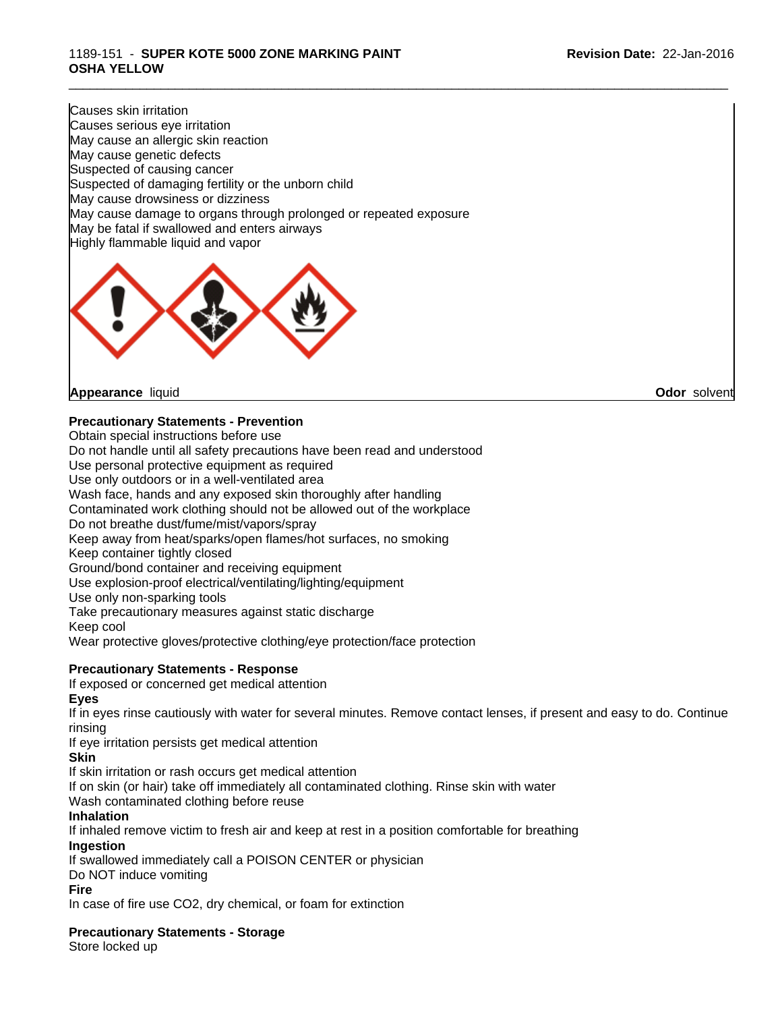#### 1189-151 - **SUPER KOTE 5000 ZONE MARKING PAINT OSHA YELLOW**

Causes skin irritation Causes serious eye irritation May cause an allergic skin reaction May cause genetic defects Suspected of causing cancer Suspected of damaging fertility or the unborn child May cause drowsiness or dizziness May cause damage to organs through prolonged or repeated exposure May be fatal if swallowed and enters airways Highly flammable liquid and vapor



**Appearance** liquid **Odor** solvent

### **Precautionary Statements - Prevention**

Obtain special instructions before use

Do not handle until all safety precautions have been read and understood

Use personal protective equipment as required

Use only outdoors or in a well-ventilated area

Wash face, hands and any exposed skin thoroughly after handling

Contaminated work clothing should not be allowed out of the workplace

Do not breathe dust/fume/mist/vapors/spray

Keep away from heat/sparks/open flames/hot surfaces, no smoking

Keep container tightly closed

Ground/bond container and receiving equipment

Use explosion-proof electrical/ventilating/lighting/equipment

Use only non-sparking tools

Take precautionary measures against static discharge

Keep cool

Wear protective gloves/protective clothing/eye protection/face protection

#### **Precautionary Statements - Response**

If exposed or concerned get medical attention

#### **Eyes**

If in eyes rinse cautiously with water for several minutes. Remove contact lenses, if present and easy to do. Continue rinsing

If eye irritation persists get medical attention

#### **Skin**

If skin irritation or rash occurs get medical attention

If on skin (or hair) take off immediately all contaminated clothing. Rinse skin with water

Wash contaminated clothing before reuse

#### **Inhalation**

If inhaled remove victim to fresh air and keep at rest in a position comfortable for breathing **Ingestion**

If swallowed immediately call a POISON CENTER or physician

Do NOT induce vomiting

#### **Fire**

In case of fire use CO2, dry chemical, or foam for extinction

**Precautionary Statements - Storage**

Store locked up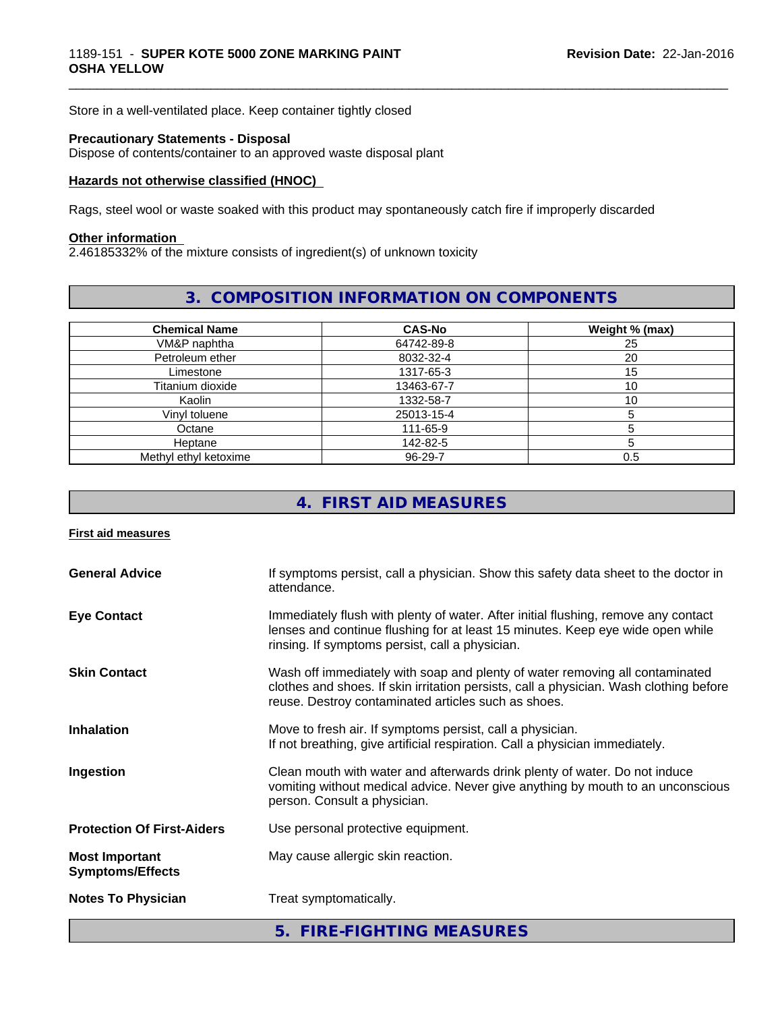Store in a well-ventilated place. Keep container tightly closed

#### **Precautionary Statements - Disposal**

Dispose of contents/container to an approved waste disposal plant

#### **Hazards not otherwise classified (HNOC)**

Rags, steel wool or waste soaked with this product may spontaneously catch fire if improperly discarded

#### **Other information**

2.46185332% of the mixture consists of ingredient(s) of unknown toxicity

# **3. COMPOSITION INFORMATION ON COMPONENTS**

\_\_\_\_\_\_\_\_\_\_\_\_\_\_\_\_\_\_\_\_\_\_\_\_\_\_\_\_\_\_\_\_\_\_\_\_\_\_\_\_\_\_\_\_\_\_\_\_\_\_\_\_\_\_\_\_\_\_\_\_\_\_\_\_\_\_\_\_\_\_\_\_\_\_\_\_\_\_\_\_\_\_\_\_\_\_\_\_\_\_\_\_\_

| <b>Chemical Name</b>  | <b>CAS-No</b> | Weight % (max) |
|-----------------------|---------------|----------------|
| VM&P naphtha          | 64742-89-8    | 25             |
| Petroleum ether       | 8032-32-4     | 20             |
| Limestone             | 1317-65-3     | 5              |
| Titanium dioxide      | 13463-67-7    | 10             |
| Kaolin                | 1332-58-7     | 10             |
| Vinyl toluene         | 25013-15-4    |                |
| Octane                | 111-65-9      |                |
| Heptane               | 142-82-5      |                |
| Methyl ethyl ketoxime | 96-29-7       | 0.5            |

# **4. FIRST AID MEASURES**

#### **First aid measures**

|                                                  | 5. FIRE-FIGHTING MEASURES                                                                                                                                                                                                     |  |
|--------------------------------------------------|-------------------------------------------------------------------------------------------------------------------------------------------------------------------------------------------------------------------------------|--|
| <b>Notes To Physician</b>                        | Treat symptomatically.                                                                                                                                                                                                        |  |
| <b>Most Important</b><br><b>Symptoms/Effects</b> | May cause allergic skin reaction.                                                                                                                                                                                             |  |
| <b>Protection Of First-Aiders</b>                | Use personal protective equipment.                                                                                                                                                                                            |  |
| Ingestion                                        | Clean mouth with water and afterwards drink plenty of water. Do not induce<br>vomiting without medical advice. Never give anything by mouth to an unconscious<br>person. Consult a physician.                                 |  |
| <b>Inhalation</b>                                | Move to fresh air. If symptoms persist, call a physician.<br>If not breathing, give artificial respiration. Call a physician immediately.                                                                                     |  |
| <b>Skin Contact</b>                              | Wash off immediately with soap and plenty of water removing all contaminated<br>clothes and shoes. If skin irritation persists, call a physician. Wash clothing before<br>reuse. Destroy contaminated articles such as shoes. |  |
| <b>Eye Contact</b>                               | Immediately flush with plenty of water. After initial flushing, remove any contact<br>lenses and continue flushing for at least 15 minutes. Keep eye wide open while<br>rinsing. If symptoms persist, call a physician.       |  |
| <b>General Advice</b>                            | If symptoms persist, call a physician. Show this safety data sheet to the doctor in<br>attendance.                                                                                                                            |  |
|                                                  |                                                                                                                                                                                                                               |  |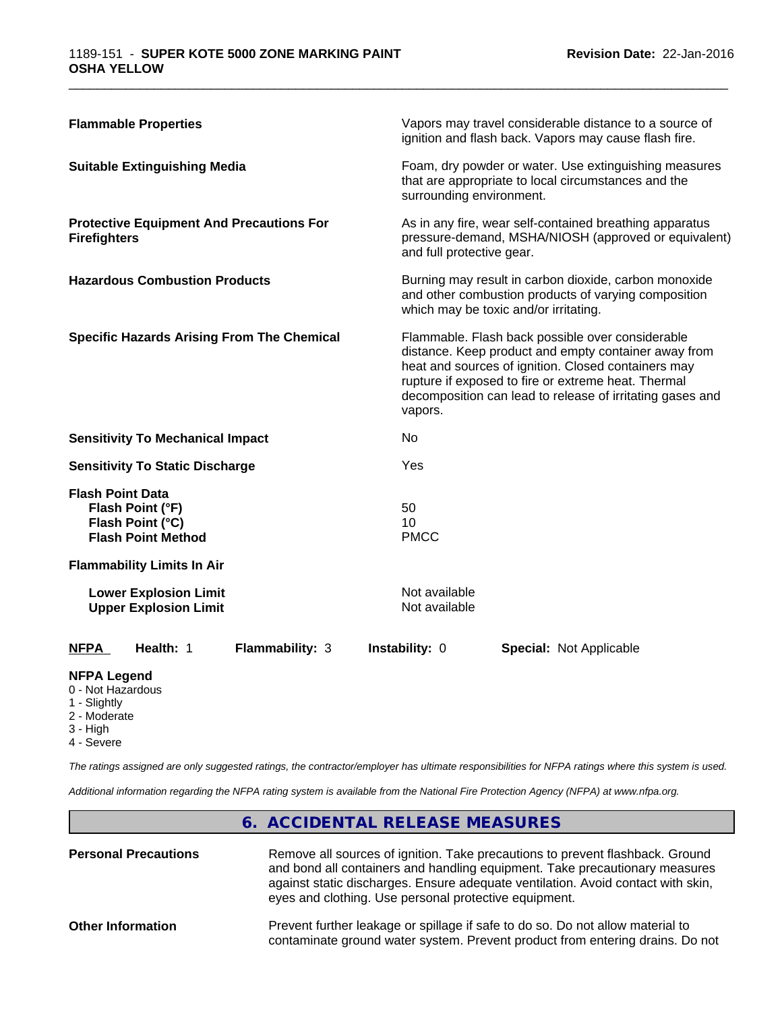| <b>Flammable Properties</b>                                                                  | Vapors may travel considerable distance to a source of<br>ignition and flash back. Vapors may cause flash fire.                                                                                                                                                                                |
|----------------------------------------------------------------------------------------------|------------------------------------------------------------------------------------------------------------------------------------------------------------------------------------------------------------------------------------------------------------------------------------------------|
| <b>Suitable Extinguishing Media</b>                                                          | Foam, dry powder or water. Use extinguishing measures<br>that are appropriate to local circumstances and the<br>surrounding environment.                                                                                                                                                       |
| <b>Protective Equipment And Precautions For</b><br><b>Firefighters</b>                       | As in any fire, wear self-contained breathing apparatus<br>pressure-demand, MSHA/NIOSH (approved or equivalent)<br>and full protective gear.                                                                                                                                                   |
| <b>Hazardous Combustion Products</b>                                                         | Burning may result in carbon dioxide, carbon monoxide<br>and other combustion products of varying composition<br>which may be toxic and/or irritating.                                                                                                                                         |
| <b>Specific Hazards Arising From The Chemical</b>                                            | Flammable. Flash back possible over considerable<br>distance. Keep product and empty container away from<br>heat and sources of ignition. Closed containers may<br>rupture if exposed to fire or extreme heat. Thermal<br>decomposition can lead to release of irritating gases and<br>vapors. |
| <b>Sensitivity To Mechanical Impact</b>                                                      | No                                                                                                                                                                                                                                                                                             |
| <b>Sensitivity To Static Discharge</b>                                                       | Yes                                                                                                                                                                                                                                                                                            |
| <b>Flash Point Data</b><br>Flash Point (°F)<br>Flash Point (°C)<br><b>Flash Point Method</b> | 50<br>10<br><b>PMCC</b>                                                                                                                                                                                                                                                                        |
| <b>Flammability Limits In Air</b>                                                            |                                                                                                                                                                                                                                                                                                |
| <b>Lower Explosion Limit</b><br><b>Upper Explosion Limit</b>                                 | Not available<br>Not available                                                                                                                                                                                                                                                                 |
| Health: 1<br><b>NFPA</b><br><b>Flammability: 3</b>                                           | Instability: 0<br><b>Special: Not Applicable</b>                                                                                                                                                                                                                                               |
| <b>NFPA Legend</b>                                                                           |                                                                                                                                                                                                                                                                                                |

- 0 Not Hazardous
- 1 Slightly
- 2 Moderate
- 3 High

r

4 - Severe

*The ratings assigned are only suggested ratings, the contractor/employer has ultimate responsibilities for NFPA ratings where this system is used.*

*Additional information regarding the NFPA rating system is available from the National Fire Protection Agency (NFPA) at www.nfpa.org.*

|                             | 6. ACCIDENTAL RELEASE MEASURES                                                                                                                                                                                                                                                                            |
|-----------------------------|-----------------------------------------------------------------------------------------------------------------------------------------------------------------------------------------------------------------------------------------------------------------------------------------------------------|
| <b>Personal Precautions</b> | Remove all sources of ignition. Take precautions to prevent flashback. Ground<br>and bond all containers and handling equipment. Take precautionary measures<br>against static discharges. Ensure adequate ventilation. Avoid contact with skin,<br>eyes and clothing. Use personal protective equipment. |
| <b>Other Information</b>    | Prevent further leakage or spillage if safe to do so. Do not allow material to<br>contaminate ground water system. Prevent product from entering drains. Do not                                                                                                                                           |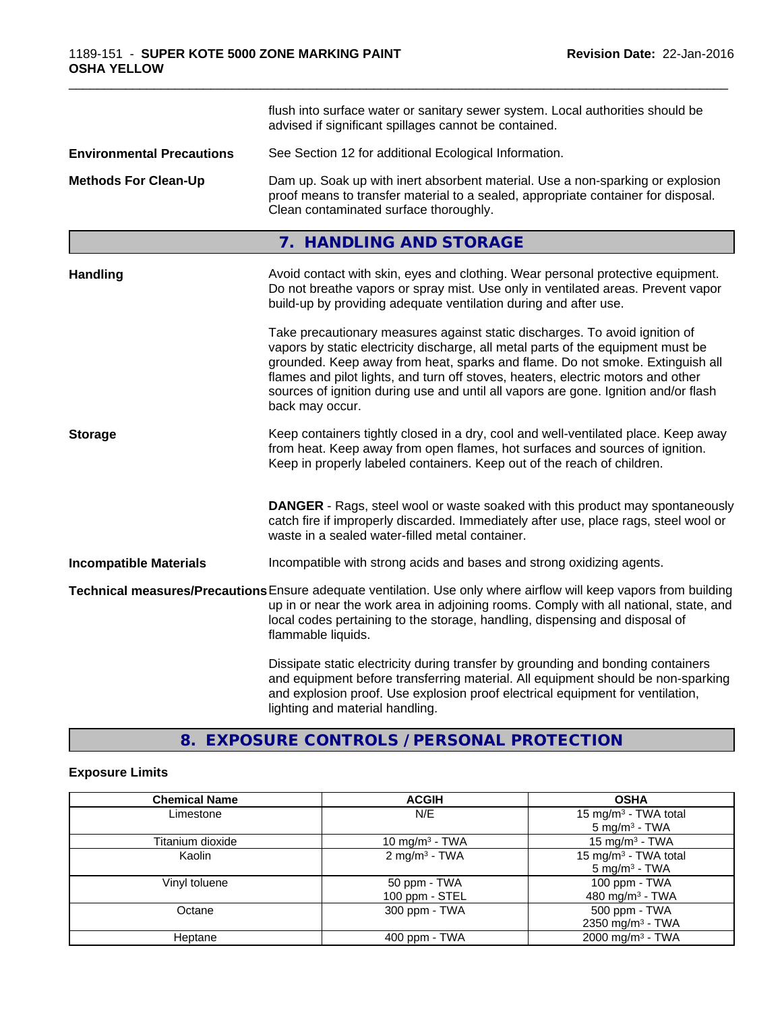|                                  | flush into surface water or sanitary sewer system. Local authorities should be<br>advised if significant spillages cannot be contained.                                                                                                                                                                                                                                                                                                        |
|----------------------------------|------------------------------------------------------------------------------------------------------------------------------------------------------------------------------------------------------------------------------------------------------------------------------------------------------------------------------------------------------------------------------------------------------------------------------------------------|
| <b>Environmental Precautions</b> | See Section 12 for additional Ecological Information.                                                                                                                                                                                                                                                                                                                                                                                          |
| <b>Methods For Clean-Up</b>      | Dam up. Soak up with inert absorbent material. Use a non-sparking or explosion<br>proof means to transfer material to a sealed, appropriate container for disposal.<br>Clean contaminated surface thoroughly.                                                                                                                                                                                                                                  |
|                                  | 7. HANDLING AND STORAGE                                                                                                                                                                                                                                                                                                                                                                                                                        |
| <b>Handling</b>                  | Avoid contact with skin, eyes and clothing. Wear personal protective equipment.<br>Do not breathe vapors or spray mist. Use only in ventilated areas. Prevent vapor<br>build-up by providing adequate ventilation during and after use.                                                                                                                                                                                                        |
|                                  | Take precautionary measures against static discharges. To avoid ignition of<br>vapors by static electricity discharge, all metal parts of the equipment must be<br>grounded. Keep away from heat, sparks and flame. Do not smoke. Extinguish all<br>flames and pilot lights, and turn off stoves, heaters, electric motors and other<br>sources of ignition during use and until all vapors are gone. Ignition and/or flash<br>back may occur. |
| <b>Storage</b>                   | Keep containers tightly closed in a dry, cool and well-ventilated place. Keep away<br>from heat. Keep away from open flames, hot surfaces and sources of ignition.<br>Keep in properly labeled containers. Keep out of the reach of children.                                                                                                                                                                                                  |
|                                  | <b>DANGER</b> - Rags, steel wool or waste soaked with this product may spontaneously<br>catch fire if improperly discarded. Immediately after use, place rags, steel wool or<br>waste in a sealed water-filled metal container.                                                                                                                                                                                                                |
| <b>Incompatible Materials</b>    | Incompatible with strong acids and bases and strong oxidizing agents.                                                                                                                                                                                                                                                                                                                                                                          |
|                                  | Technical measures/Precautions Ensure adequate ventilation. Use only where airflow will keep vapors from building<br>up in or near the work area in adjoining rooms. Comply with all national, state, and<br>local codes pertaining to the storage, handling, dispensing and disposal of<br>flammable liquids.                                                                                                                                 |
|                                  | Dissipate static electricity during transfer by grounding and bonding containers<br>and equipment before transferring material. All equipment should be non-sparking<br>and explosion proof. Use explosion proof electrical equipment for ventilation,<br>lighting and material handling.                                                                                                                                                      |

# **8. EXPOSURE CONTROLS / PERSONAL PROTECTION**

# **Exposure Limits**

| <b>Chemical Name</b> | <b>ACGIH</b>              | <b>OSHA</b>                      |
|----------------------|---------------------------|----------------------------------|
| Limestone            | N/E                       | 15 mg/m <sup>3</sup> - TWA total |
|                      |                           | $5 \text{ mg/m}^3$ - TWA         |
| Titanium dioxide     | 10 mg/m $3$ - TWA         | 15 mg/m $3$ - TWA                |
| Kaolin               | 2 mg/m <sup>3</sup> - TWA | 15 mg/m <sup>3</sup> - TWA total |
|                      |                           | $5 \text{ mg/m}^3$ - TWA         |
| Vinyl toluene        | 50 ppm - TWA              | 100 ppm - TWA                    |
|                      | 100 ppm - STEL            | 480 mg/m $3$ - TWA               |
| Octane               | 300 ppm - TWA             | 500 ppm - TWA                    |
|                      |                           | 2350 mg/m <sup>3</sup> - TWA     |
| Heptane              | $400$ ppm $-$ TWA         | 2000 mg/m <sup>3</sup> - TWA     |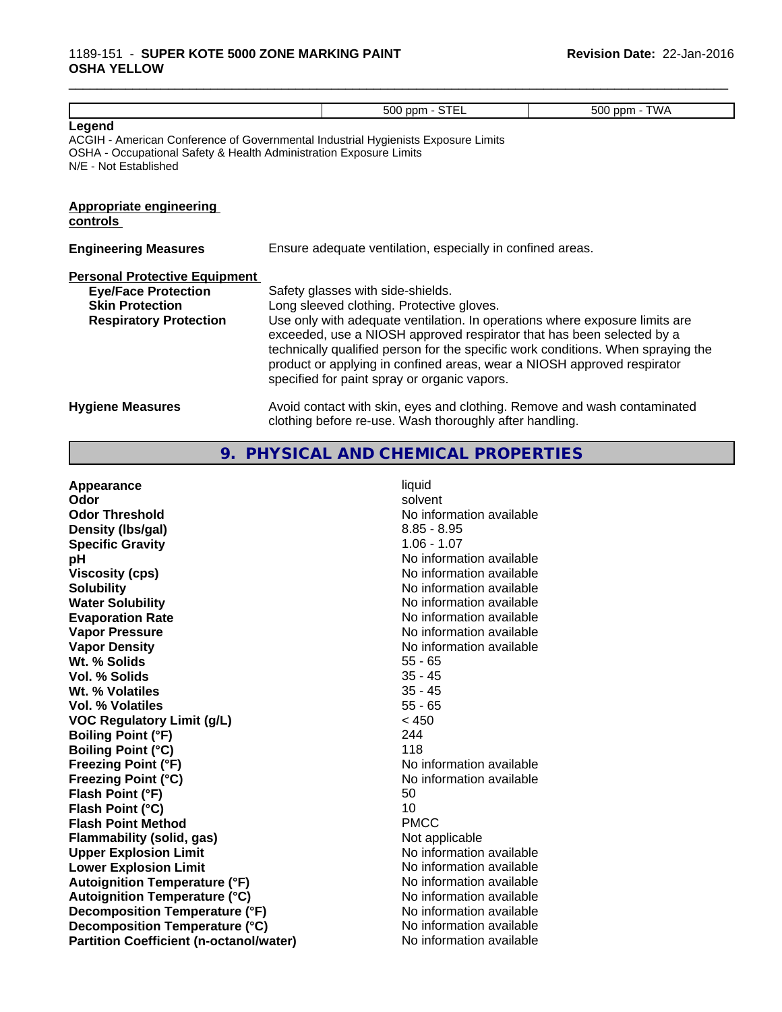### 1189-151 - **SUPER KOTE 5000 ZONE MARKING PAINT OSHA YELLOW**

|                                                                                                                               | 500 ppm - STEL                                                                                                                                                                                                                                                                                                                                                                                                                                        | 500 ppm - TWA |
|-------------------------------------------------------------------------------------------------------------------------------|-------------------------------------------------------------------------------------------------------------------------------------------------------------------------------------------------------------------------------------------------------------------------------------------------------------------------------------------------------------------------------------------------------------------------------------------------------|---------------|
| Legend<br>OSHA - Occupational Safety & Health Administration Exposure Limits<br>N/E - Not Established                         | ACGIH - American Conference of Governmental Industrial Hygienists Exposure Limits                                                                                                                                                                                                                                                                                                                                                                     |               |
| <b>Appropriate engineering</b><br>controls                                                                                    |                                                                                                                                                                                                                                                                                                                                                                                                                                                       |               |
| <b>Engineering Measures</b>                                                                                                   | Ensure adequate ventilation, especially in confined areas.                                                                                                                                                                                                                                                                                                                                                                                            |               |
| <b>Personal Protective Equipment</b><br><b>Eye/Face Protection</b><br><b>Skin Protection</b><br><b>Respiratory Protection</b> | Safety glasses with side-shields.<br>Long sleeved clothing. Protective gloves.<br>Use only with adequate ventilation. In operations where exposure limits are<br>exceeded, use a NIOSH approved respirator that has been selected by a<br>technically qualified person for the specific work conditions. When spraying the<br>product or applying in confined areas, wear a NIOSH approved respirator<br>specified for paint spray or organic vapors. |               |
| <b>Hygiene Measures</b>                                                                                                       | Avoid contact with skin, eyes and clothing. Remove and wash contaminated                                                                                                                                                                                                                                                                                                                                                                              |               |

\_\_\_\_\_\_\_\_\_\_\_\_\_\_\_\_\_\_\_\_\_\_\_\_\_\_\_\_\_\_\_\_\_\_\_\_\_\_\_\_\_\_\_\_\_\_\_\_\_\_\_\_\_\_\_\_\_\_\_\_\_\_\_\_\_\_\_\_\_\_\_\_\_\_\_\_\_\_\_\_\_\_\_\_\_\_\_\_\_\_\_\_\_

# **9. PHYSICAL AND CHEMICAL PROPERTIES**

clothing before re-use. Wash thoroughly after handling.

| Appearance                                     | liquid                   |
|------------------------------------------------|--------------------------|
| Odor                                           | solvent                  |
| <b>Odor Threshold</b>                          | No information available |
| Density (Ibs/gal)                              | $8.85 - 8.95$            |
| <b>Specific Gravity</b>                        | $1.06 - 1.07$            |
| рH                                             | No information available |
| <b>Viscosity (cps)</b>                         | No information available |
| <b>Solubility</b>                              | No information available |
| <b>Water Solubility</b>                        | No information available |
| <b>Evaporation Rate</b>                        | No information available |
| <b>Vapor Pressure</b>                          | No information available |
| <b>Vapor Density</b>                           | No information available |
| Wt. % Solids                                   | $55 - 65$                |
| Vol. % Solids                                  | $35 - 45$                |
| Wt. % Volatiles                                | $35 - 45$                |
| Vol. % Volatiles                               | $55 - 65$                |
| <b>VOC Regulatory Limit (g/L)</b>              | < 450                    |
| <b>Boiling Point (°F)</b>                      | 244                      |
| <b>Boiling Point (°C)</b>                      | 118                      |
| <b>Freezing Point (°F)</b>                     | No information available |
| <b>Freezing Point (°C)</b>                     | No information available |
| Flash Point (°F)                               | 50                       |
| Flash Point (°C)                               | 10                       |
| <b>Flash Point Method</b>                      | <b>PMCC</b>              |
| <b>Flammability (solid, gas)</b>               | Not applicable           |
| <b>Upper Explosion Limit</b>                   | No information available |
| <b>Lower Explosion Limit</b>                   | No information available |
| <b>Autoignition Temperature (°F)</b>           | No information available |
| <b>Autoignition Temperature (°C)</b>           | No information available |
| Decomposition Temperature (°F)                 | No information available |
| Decomposition Temperature (°C)                 | No information available |
| <b>Partition Coefficient (n-octanol/water)</b> | No information available |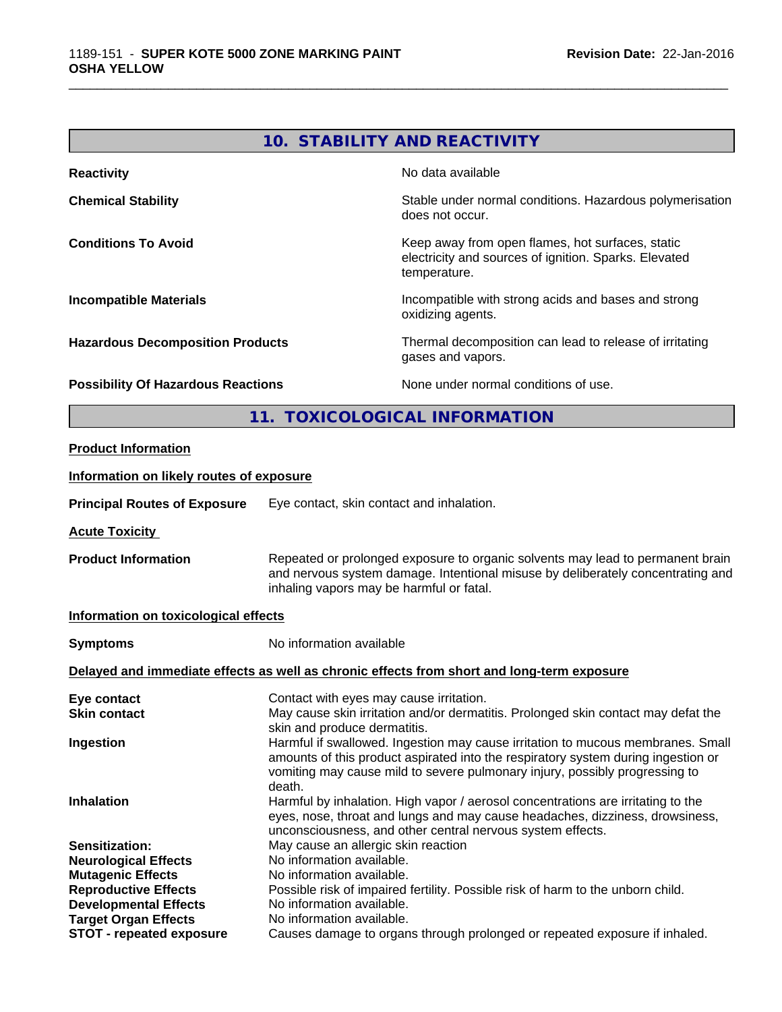|                                           | 10. STABILITY AND REACTIVITY                                                                                              |
|-------------------------------------------|---------------------------------------------------------------------------------------------------------------------------|
| <b>Reactivity</b>                         | No data available                                                                                                         |
| <b>Chemical Stability</b>                 | Stable under normal conditions. Hazardous polymerisation<br>does not occur.                                               |
| <b>Conditions To Avoid</b>                | Keep away from open flames, hot surfaces, static<br>electricity and sources of ignition. Sparks. Elevated<br>temperature. |
| <b>Incompatible Materials</b>             | Incompatible with strong acids and bases and strong<br>oxidizing agents.                                                  |
| <b>Hazardous Decomposition Products</b>   | Thermal decomposition can lead to release of irritating<br>gases and vapors.                                              |
| <b>Possibility Of Hazardous Reactions</b> | None under normal conditions of use.                                                                                      |
| 11.                                       | <b>TOXICOLOGICAL INFORMATION</b>                                                                                          |
| <b>Product Information</b>                |                                                                                                                           |

#### **Information on likely routes of exposure**

**Principal Routes of Exposure** Eye contact, skin contact and inhalation.

**Acute Toxicity** 

**Product Information** Repeated or prolonged exposure to organic solvents may lead to permanent brain and nervous system damage. Intentional misuse by deliberately concentrating and inhaling vapors may be harmful or fatal.

#### **Information on toxicological effects**

| <b>Symptoms</b>                 | No information available                                                                                                                                                                                                                                      |
|---------------------------------|---------------------------------------------------------------------------------------------------------------------------------------------------------------------------------------------------------------------------------------------------------------|
|                                 | Delayed and immediate effects as well as chronic effects from short and long-term exposure                                                                                                                                                                    |
| Eye contact                     | Contact with eyes may cause irritation.                                                                                                                                                                                                                       |
| <b>Skin contact</b>             | May cause skin irritation and/or dermatitis. Prolonged skin contact may defat the<br>skin and produce dermatitis.                                                                                                                                             |
| Ingestion                       | Harmful if swallowed. Ingestion may cause irritation to mucous membranes. Small<br>amounts of this product aspirated into the respiratory system during ingestion or<br>vomiting may cause mild to severe pulmonary injury, possibly progressing to<br>death. |
| <b>Inhalation</b>               | Harmful by inhalation. High vapor / aerosol concentrations are irritating to the<br>eyes, nose, throat and lungs and may cause headaches, dizziness, drowsiness,<br>unconsciousness, and other central nervous system effects.                                |
| Sensitization:                  | May cause an allergic skin reaction                                                                                                                                                                                                                           |
| <b>Neurological Effects</b>     | No information available.                                                                                                                                                                                                                                     |
| <b>Mutagenic Effects</b>        | No information available.                                                                                                                                                                                                                                     |
| <b>Reproductive Effects</b>     | Possible risk of impaired fertility. Possible risk of harm to the unborn child.                                                                                                                                                                               |
| <b>Developmental Effects</b>    | No information available.                                                                                                                                                                                                                                     |
| <b>Target Organ Effects</b>     | No information available.                                                                                                                                                                                                                                     |
| <b>STOT - repeated exposure</b> | Causes damage to organs through prolonged or repeated exposure if inhaled.                                                                                                                                                                                    |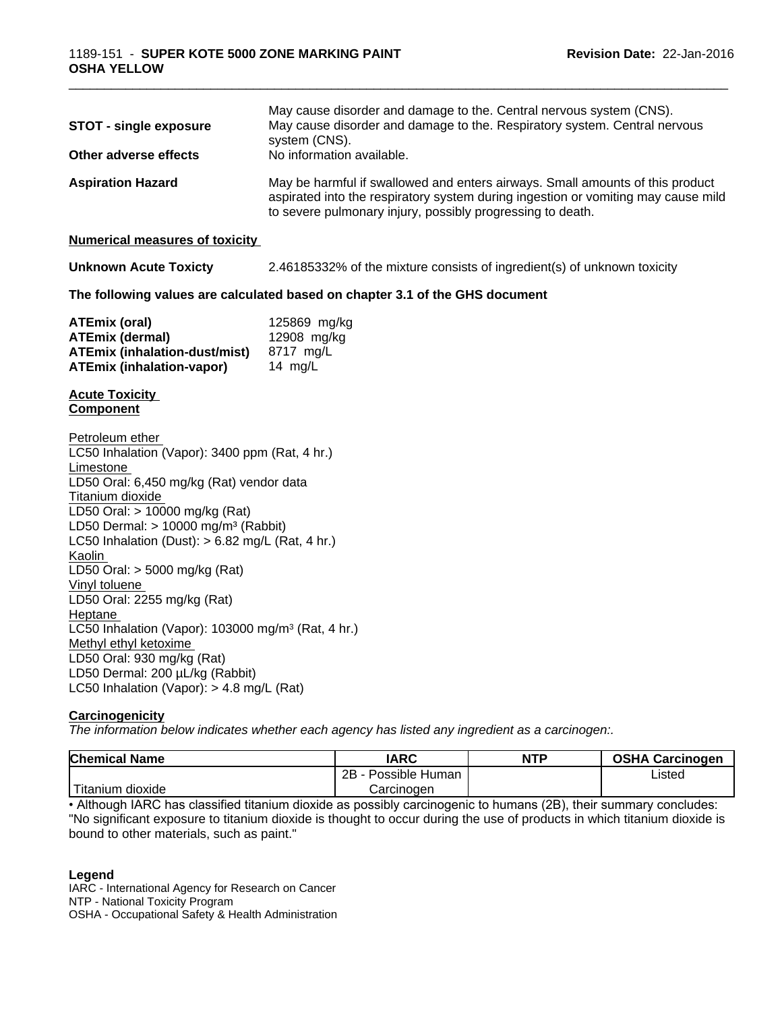| May cause disorder and damage to the. Central nervous system (CNS).<br>May cause disorder and damage to the. Respiratory system. Central nervous<br><b>STOT - single exposure</b><br>system (CNS).<br>No information available.<br>May be harmful if swallowed and enters airways. Small amounts of this product<br>aspirated into the respiratory system during ingestion or vomiting may cause mild<br>to severe pulmonary injury, possibly progressing to death.<br>2.46185332% of the mixture consists of ingredient(s) of unknown toxicity<br>125869 mg/kg<br>12908 mg/kg<br>8717 mg/L<br>14 $mg/L$     |
|--------------------------------------------------------------------------------------------------------------------------------------------------------------------------------------------------------------------------------------------------------------------------------------------------------------------------------------------------------------------------------------------------------------------------------------------------------------------------------------------------------------------------------------------------------------------------------------------------------------|
| Other adverse effects<br><b>Aspiration Hazard</b><br><b>Numerical measures of toxicity</b><br><b>Unknown Acute Toxicty</b><br>The following values are calculated based on chapter 3.1 of the GHS document<br><b>ATEmix (oral)</b><br><b>ATEmix (dermal)</b><br><b>ATEmix (inhalation-dust/mist)</b><br><b>ATEmix (inhalation-vapor)</b><br><b>Acute Toxicity</b><br><b>Component</b>                                                                                                                                                                                                                        |
|                                                                                                                                                                                                                                                                                                                                                                                                                                                                                                                                                                                                              |
|                                                                                                                                                                                                                                                                                                                                                                                                                                                                                                                                                                                                              |
|                                                                                                                                                                                                                                                                                                                                                                                                                                                                                                                                                                                                              |
|                                                                                                                                                                                                                                                                                                                                                                                                                                                                                                                                                                                                              |
|                                                                                                                                                                                                                                                                                                                                                                                                                                                                                                                                                                                                              |
|                                                                                                                                                                                                                                                                                                                                                                                                                                                                                                                                                                                                              |
|                                                                                                                                                                                                                                                                                                                                                                                                                                                                                                                                                                                                              |
| Petroleum ether<br>LC50 Inhalation (Vapor): 3400 ppm (Rat, 4 hr.)<br>Limestone<br>LD50 Oral: 6,450 mg/kg (Rat) vendor data<br>Titanium dioxide<br>LD50 Oral: > 10000 mg/kg (Rat)<br>LD50 Dermal: $> 10000$ mg/m <sup>3</sup> (Rabbit)<br>LC50 Inhalation (Dust): $> 6.82$ mg/L (Rat, 4 hr.)<br>Kaolin<br>LD50 Oral: > 5000 mg/kg (Rat)<br>Vinyl toluene<br>LD50 Oral: 2255 mg/kg (Rat)<br>Heptane<br>LC50 Inhalation (Vapor): 103000 mg/m <sup>3</sup> (Rat, 4 hr.)<br>Methyl ethyl ketoxime<br>LD50 Oral: 930 mg/kg (Rat)<br>LD50 Dermal: 200 µL/kg (Rabbit)<br>LC50 Inhalation (Vapor): $> 4.8$ mg/L (Rat) |
| Carcinogenicity<br>The information below indicates whether each agency has listed any ingredient as a carcinogen:.                                                                                                                                                                                                                                                                                                                                                                                                                                                                                           |

| <b>Chemical Name</b>            | <b>IARC</b>                  | <b>NTP</b> | <b>OSHA Carcinogen</b> |  |
|---------------------------------|------------------------------|------------|------------------------|--|
|                                 | $2B \cdot$<br>Possible Human |            | Listed                 |  |
| .<br>dioxide<br><b>Titanium</b> | Carcinogen<br>. .            |            |                        |  |

• Although IARC has classified titanium dioxide as possibly carcinogenic to humans (2B), their summary concludes: "No significant exposure to titanium dioxide is thought to occur during the use of products in which titanium dioxide is bound to other materials, such as paint."

#### **Legend**

IARC - International Agency for Research on Cancer NTP - National Toxicity Program

OSHA - Occupational Safety & Health Administration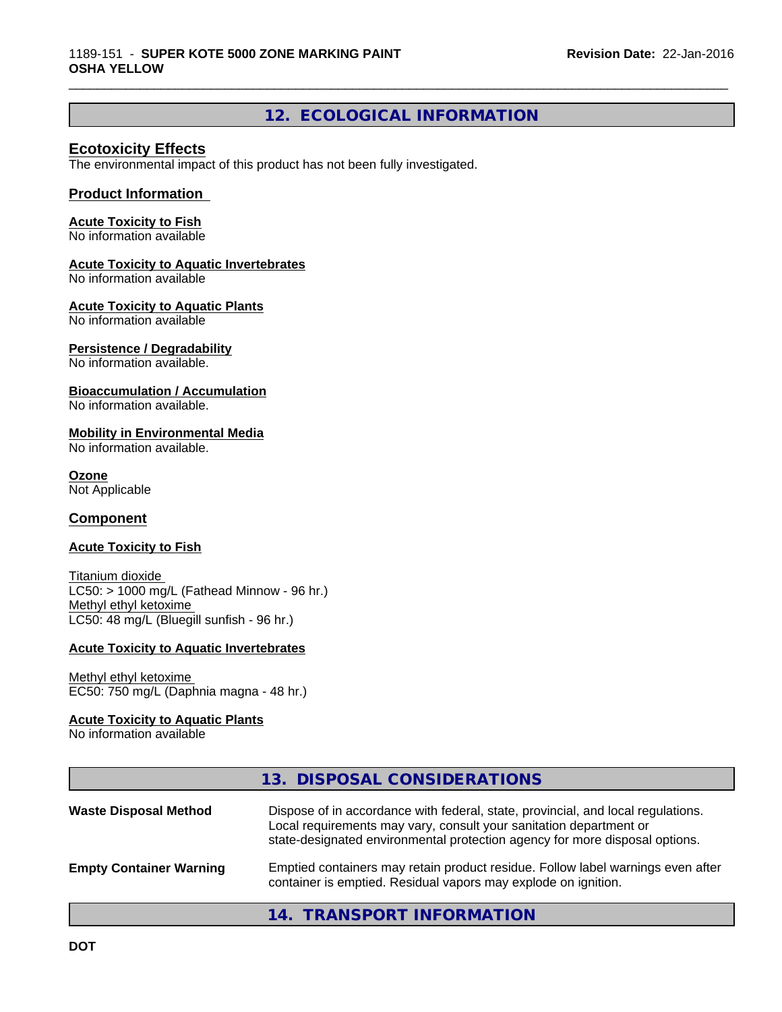# **12. ECOLOGICAL INFORMATION**

\_\_\_\_\_\_\_\_\_\_\_\_\_\_\_\_\_\_\_\_\_\_\_\_\_\_\_\_\_\_\_\_\_\_\_\_\_\_\_\_\_\_\_\_\_\_\_\_\_\_\_\_\_\_\_\_\_\_\_\_\_\_\_\_\_\_\_\_\_\_\_\_\_\_\_\_\_\_\_\_\_\_\_\_\_\_\_\_\_\_\_\_\_

#### **Ecotoxicity Effects**

The environmental impact of this product has not been fully investigated.

#### **Product Information**

#### **Acute Toxicity to Fish**

No information available

#### **Acute Toxicity to Aquatic Invertebrates**

No information available

#### **Acute Toxicity to Aquatic Plants**

No information available

#### **Persistence / Degradability**

No information available.

#### **Bioaccumulation / Accumulation**

No information available.

#### **Mobility in Environmental Media**

No information available.

#### **Ozone**

Not Applicable

#### **Component**

#### **Acute Toxicity to Fish**

Titanium dioxide  $LC50:$  > 1000 mg/L (Fathead Minnow - 96 hr.) Methyl ethyl ketoxime LC50: 48 mg/L (Bluegill sunfish - 96 hr.)

#### **Acute Toxicity to Aquatic Invertebrates**

#### Methyl ethyl ketoxime EC50: 750 mg/L (Daphnia magna - 48 hr.)

#### **Acute Toxicity to Aquatic Plants**

No information available

|                                | 13. DISPOSAL CONSIDERATIONS                                                                                                                                                                                                           |
|--------------------------------|---------------------------------------------------------------------------------------------------------------------------------------------------------------------------------------------------------------------------------------|
| <b>Waste Disposal Method</b>   | Dispose of in accordance with federal, state, provincial, and local regulations.<br>Local requirements may vary, consult your sanitation department or<br>state-designated environmental protection agency for more disposal options. |
| <b>Empty Container Warning</b> | Emptied containers may retain product residue. Follow label warnings even after<br>container is emptied. Residual vapors may explode on ignition.                                                                                     |

# **14. TRANSPORT INFORMATION**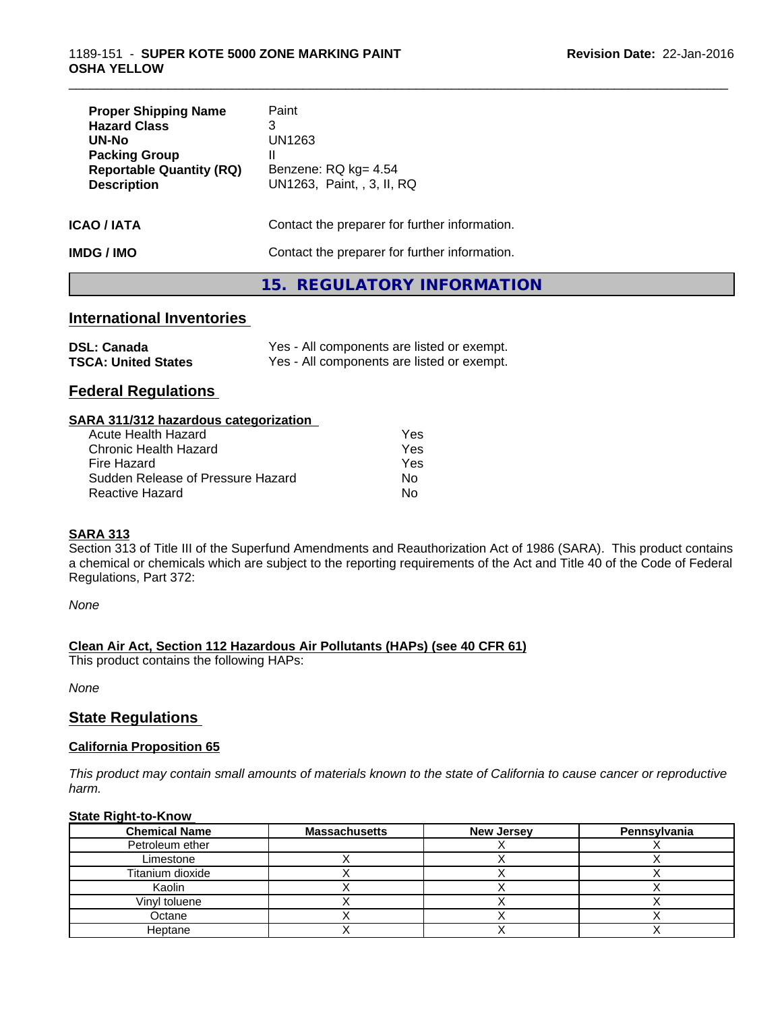| <b>Proper Shipping Name</b><br><b>Hazard Class</b><br>UN-No<br><b>Packing Group</b><br><b>Reportable Quantity (RQ)</b><br><b>Description</b> | Paint<br>3<br>UN1263<br>Ш<br>Benzene: RQ kg= 4.54<br>UN1263, Paint, , 3, II, RQ |
|----------------------------------------------------------------------------------------------------------------------------------------------|---------------------------------------------------------------------------------|
| ICAO / IATA                                                                                                                                  | Contact the preparer for further information.                                   |
| IMDG / IMO                                                                                                                                   | Contact the preparer for further information.                                   |

# **15. REGULATORY INFORMATION**

\_\_\_\_\_\_\_\_\_\_\_\_\_\_\_\_\_\_\_\_\_\_\_\_\_\_\_\_\_\_\_\_\_\_\_\_\_\_\_\_\_\_\_\_\_\_\_\_\_\_\_\_\_\_\_\_\_\_\_\_\_\_\_\_\_\_\_\_\_\_\_\_\_\_\_\_\_\_\_\_\_\_\_\_\_\_\_\_\_\_\_\_\_

### **International Inventories**

| <b>DSL: Canada</b>         | Yes - All components are listed or exempt. |
|----------------------------|--------------------------------------------|
| <b>TSCA: United States</b> | Yes - All components are listed or exempt. |

### **Federal Regulations**

#### **SARA 311/312 hazardous categorization**

| Acute Health Hazard               | Yes |  |
|-----------------------------------|-----|--|
| Chronic Health Hazard             | Yes |  |
| Fire Hazard                       | Yes |  |
| Sudden Release of Pressure Hazard | Nο  |  |
| Reactive Hazard                   | Nο  |  |

#### **SARA 313**

Section 313 of Title III of the Superfund Amendments and Reauthorization Act of 1986 (SARA). This product contains a chemical or chemicals which are subject to the reporting requirements of the Act and Title 40 of the Code of Federal Regulations, Part 372:

*None*

#### **Clean Air Act,Section 112 Hazardous Air Pollutants (HAPs) (see 40 CFR 61)**

This product contains the following HAPs:

*None*

### **State Regulations**

#### **California Proposition 65**

This product may contain small amounts of materials known to the state of California to cause cancer or reproductive *harm.*

#### **State Right-to-Know**

| <b>Chemical Name</b> | <b>Massachusetts</b> | <b>New Jersey</b> | Pennsylvania |
|----------------------|----------------------|-------------------|--------------|
| Petroleum ether      |                      |                   |              |
| Limestone            |                      |                   |              |
| Titanium dioxide     |                      |                   |              |
| Kaolin               |                      |                   |              |
| Vinyl toluene        |                      |                   |              |
| Octane               |                      |                   |              |
| Heptane              |                      |                   |              |